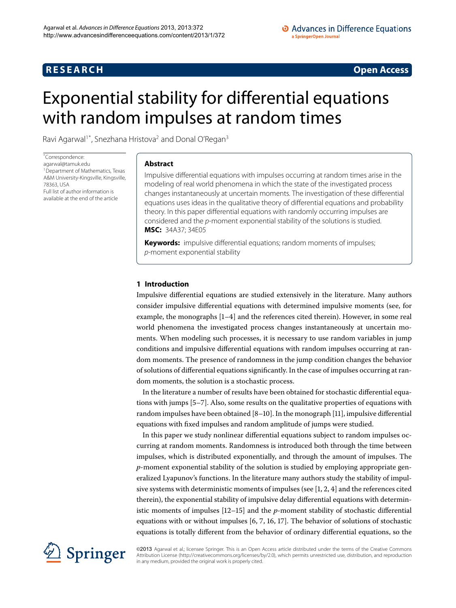## **R E S E A R C H Open Access**

# <span id="page-0-0"></span>Exponential stability for differential equations with random impulses at random times

Ravi Agarwal<sup>1[\\*](#page-0-0)</sup>, Snezhana Hristova<sup>2</sup> and Donal O'Regan<sup>3</sup>

\* Correspondence: [agarwal@tamuk.edu](mailto:agarwal@tamuk.edu) <sup>1</sup> Department of Mathematics, Texas A&M University-Kingsville, Kingsville, 78363, USA Full list of author information is available at the end of the article

#### **Abstract**

Impulsive differential equations with impulses occurring at random times arise in the modeling of real world phenomena in which the state of the investigated process changes instantaneously at uncertain moments. The investigation of these differential equations uses ideas in the qualitative theory of differential equations and probability theory. In this paper differential equations with randomly occurring impulses are considered and the p-moment exponential stability of the solutions is studied. **MSC:** 34A37; 34E05

**Keywords:** impulsive differential equations; random moments of impulses; p-moment exponential stability

### **1 Introduction**

Impulsive differential equations are studied extensively in the literature. Many authors consider impulsive differential equations with determined impulsive moments (see, for example, the monographs  $[1-4]$  $[1-4]$  and the references cited therein). However, in some real world phenomena the investigated process changes instantaneously at uncertain moments. When modeling such processes, it is necessary to use random variables in jump conditions and impulsive differential equations with random impulses occurring at random moments. The presence of randomness in the jump condition changes the behavior of solutions of differential equations significantly. In the case of impulses occurring at random moments, the solution is a stochastic process.

In the literature a number of results have been obtained for stochastic differential equations with jumps  $[5-7]$ . Also, some results on the qualitative properties of equations with random impulses have been obtained  $[8-10]$  $[8-10]$ . In the monograph  $[11]$ , impulsive differential equations with fixed impulses and random amplitude of jumps were studied.

In this paper we study nonlinear differential equations subject to random impulses occurring at random moments. Randomness is introduced both through the time between impulses, which is distributed exponentially, and through the amount of impulses. The *p*-moment exponential stability of the solution is studied by employing appropriate generalized Lyapunov's functions. In the literature many authors study the stability of impulsive systems with deterministic moments of impulses (see  $[1, 2, 4]$  $[1, 2, 4]$  $[1, 2, 4]$  and the references cited therein), the exponential stability of impulsive delay differential equations with deterministic moments of impulses  $[12–15]$  $[12–15]$  and the *p*-moment stability of stochastic differential equations with or without impulses  $[6, 7, 16, 17]$  $[6, 7, 16, 17]$  $[6, 7, 16, 17]$ . The behavior of solutions of stochastic equations is totally different from the behavior of ordinary differential equations, so the



©2013 Agarwal et al.; licensee Springer. This is an Open Access article distributed under the terms of the Creative Commons Attribution License [\(http://creativecommons.org/licenses/by/2.0](http://creativecommons.org/licenses/by/2.0)), which permits unrestricted use, distribution, and reproduction in any medium, provided the original work is properly cited.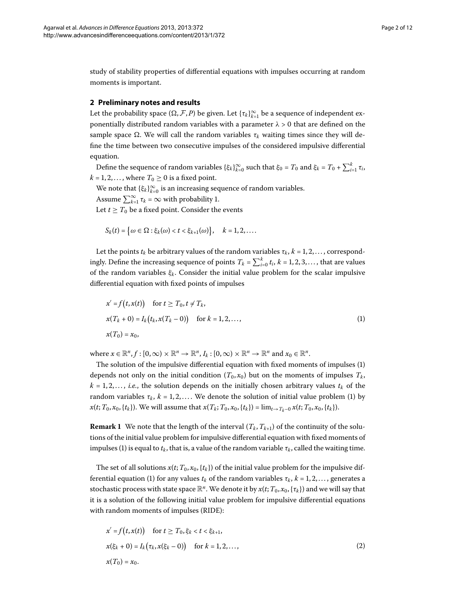study of stability properties of differential equations with impulses occurring at random moments is important.

#### **2 Preliminary notes and results**

Let the probability space  $(\Omega, \mathcal{F}, P)$  be given. Let  $\{\tau_k\}_{k=1}^\infty$  be a sequence of independent exponentially distributed random variables with a parameter  $\lambda > 0$  that are defined on the sample space  $\Omega$ . We will call the random variables  $\tau_k$  waiting times since they will define the time between two consecutive impulses of the considered impulsive differential equation.

Define the sequence of random variables  $\{\xi_k\}_{k=0}^{\infty}$  such that  $\xi_0 = T_0$  and  $\xi_k = T_0 + \sum_{i=1}^k \tau_i$ ,  $k = 1, 2, \dots$ , where  $T_0 \ge 0$  is a fixed point.

We note that  $\{\xi_k\}_{k=0}^{\infty}$  is an increasing sequence of random variables.

Assume  $\sum_{k=1}^{\infty} \tau_k = \infty$  with probability 1.

Let  $t \geq T_0$  be a fixed point. Consider the events

<span id="page-1-0"></span>
$$
S_k(t) = \big\{\omega \in \Omega : \xi_k(\omega) < t < \xi_{k+1}(\omega)\big\}, \quad k = 1, 2, \ldots.
$$

Let the points  $t_k$  be arbitrary values of the random variables  $\tau_k$ ,  $k = 1, 2, \ldots$ , correspondingly. Define the increasing sequence of points  $T_k = \sum_{i=0}^k t_i$ ,  $k = 1, 2, 3, ...,$  that are values of the random variables *ξ<sup>k</sup>* . Consider the initial value problem for the scalar impulsive differential equation with fixed points of impulses

$$
x' = f(t, x(t)) \text{ for } t \geq T_0, t \neq T_k,
$$
  
\n
$$
x(T_k + 0) = I_k(t_k, x(T_k - 0)) \text{ for } k = 1, 2, ...,
$$
  
\n
$$
x(T_0) = x_0,
$$
\n(1)

where  $x \in \mathbb{R}^n$ ,  $f : [0, \infty) \times \mathbb{R}^n \to \mathbb{R}^n$ ,  $I_k : [0, \infty) \times \mathbb{R}^n \to \mathbb{R}^n$  and  $x_0 \in \mathbb{R}^n$ .

The solution of the impulsive differential equation with fixed moments of impulses (1) depends not only on the initial condition  $(T_0, x_0)$  but on the moments of impulses  $T_k$ ,  $k = 1, 2, \ldots, i.e.,$  the solution depends on the initially chosen arbitrary values  $t_k$  of the random variables  $\tau_k$ ,  $k = 1, 2, \ldots$ . We denote the solution of initial value problem [\(](#page-1-0)1) by *x*(*t*; *T*<sub>0</sub>, *x*<sub>0</sub>, {*t<sub>k</sub>*}). We will assume that *x*(*T<sub>k</sub>*; *T*<sub>0</sub>, *x*<sub>0</sub>, {*t<sub>k</sub>*}) = lim<sub>*t*→*T<sub>k</sub>*–0</sub>*x*(*t*; *T*<sub>0</sub>, *x*<sub>0</sub>, {*t<sub>k</sub>*}).

**Remark 1** We note that the length of the interval  $(T_k, T_{k+1})$  of the continuity of the solutions of the initial value problem for impulsive differential equation with fixed moments of impulses (1[\)](#page-1-0) is equal to  $t_k$ , that is, a value of the random variable  $\tau_k$ , called the waiting time.

The set of all solutions  $x(t; T_0, x_0, \{t_k\})$  of the initial value problem for the impulsive dif-ferential equation [\(](#page-1-0)1) for any values  $t_k$  of the random variables  $\tau_k$ ,  $k = 1, 2, \ldots$ , generates a stochastic process with state space  $\mathbb{R}^n$ . We denote it by  $x(t; T_0, x_0, \{\tau_k\})$  and we will say that it is a solution of the following initial value problem for impulsive differential equations with random moments of impulses (RIDE):

<span id="page-1-1"></span>
$$
x' = f(t, x(t)) \quad \text{for } t \ge T_0, \xi_k < t < \xi_{k+1},
$$
\n
$$
x(\xi_k + 0) = I_k(\tau_k, x(\xi_k - 0)) \quad \text{for } k = 1, 2, \dots,
$$
\n
$$
x(T_0) = x_0.
$$
\n
$$
(2)
$$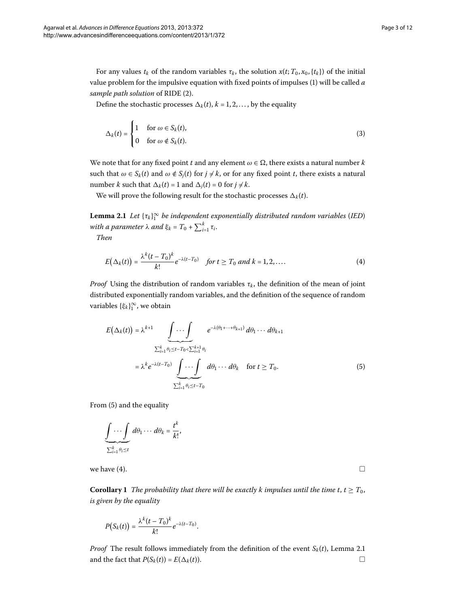For any values  $t_k$  of the random variables  $\tau_k$ , the solution  $x(t; T_0, x_0, \{t_k\})$  of the initial value problem for the impulsive equation with fixed points of impulses ([\)](#page-1-0) will be called *a sample path solution* of RIDE [\(](#page-1-1)2).

Define the stochastic processes  $\Delta_k(t)$ ,  $k = 1, 2, \dots$ , by the equality

$$
\Delta_k(t) = \begin{cases} 1 & \text{for } \omega \in S_k(t), \\ 0 & \text{for } \omega \notin S_k(t). \end{cases} \tag{3}
$$

<span id="page-2-2"></span>We note that for any fixed point *t* and any element  $\omega \in \Omega$ , there exists a natural number *k* such that  $\omega \in S_k(t)$  and  $\omega \notin S_j(t)$  for  $j \neq k$ , or for any fixed point *t*, there exists a natural number *k* such that  $\Delta_k(t) = 1$  and  $\Delta_j(t) = 0$  for  $j \neq k$ .

<span id="page-2-1"></span>We will prove the following result for the stochastic processes  $\Delta_k(t)$ .

**Lemma .** *Let* {*τk*}<sup>∞</sup> *be independent exponentially distributed random variables* (*IED*) *with a parameter λ and*  $\xi_k = T_0 + \sum_{i=1}^k \tau_i$ .

*Then*

$$
E(\Delta_k(t)) = \frac{\lambda^k (t - T_0)^k}{k!} e^{-\lambda (t - T_0)} \quad \text{for } t \ge T_0 \text{ and } k = 1, 2, .... \tag{4}
$$

*Proof* Using the distribution of random variables  $\tau_k$ , the definition of the mean of joint distributed exponentially random variables, and the definition of the sequence of random variables {*ξk*}<sup>∞</sup> , we obtain

<span id="page-2-0"></span>
$$
E(\Delta_k(t)) = \lambda^{k+1} \underbrace{\int \cdots \int}_{\sum_{i=1}^k \theta_i \le t - T_0 < \sum_{i=1}^{k+1} \theta_i} e^{-\lambda(\theta_1 + \cdots + \theta_{k+1})} d\theta_1 \cdots d\theta_{k+1}
$$
\n
$$
= \lambda^k e^{-\lambda(t-T_0)} \underbrace{\int \cdots \int}_{\sum_{i=1}^k \theta_i \le t - T_0} d\theta_1 \cdots d\theta_k \quad \text{for } t \ge T_0.
$$
\n
$$
(5)
$$

<span id="page-2-3"></span>From (5) and the equality

$$
\underbrace{\int \cdots \int}_{\sum_{i=1}^k \theta_i \leq t} d\theta_1 \cdots d\theta_k = \frac{t^k}{k!},
$$

we have (4).  $\Box$ 

**Corollary 1** The probability that there will be exactly k impulses until the time t,  $t \geq T_0$ , *is given by the equality*

$$
P(S_k(t))=\frac{\lambda^k(t-T_0)^k}{k!}e^{-\lambda(t-T_0)}.
$$

*Proof* The result follows immediately from the definition of the event  $S_k(t)$ , Lemma 2[.](#page-2-2)1 and the fact that  $P(S_k(t)) = E(\Delta_k(t))$ .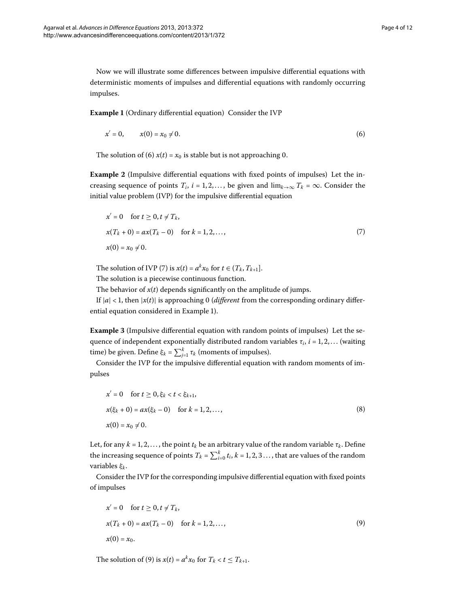<span id="page-3-2"></span>Now we will illustrate some differences between impulsive differential equations with deterministic moments of impulses and differential equations with randomly occurring impulses.

**Example 1** (Ordinary differential equation) Consider the IVP

<span id="page-3-5"></span><span id="page-3-1"></span><span id="page-3-0"></span>
$$
x' = 0, \qquad x(0) = x_0 \neq 0. \tag{6}
$$

The solution of [\(](#page-3-0)6)  $x(t) = x_0$  is stable but is not approaching 0.

**Example 2** (Impulsive differential equations with fixed points of impulses) Let the increasing sequence of points  $T_i$ ,  $i = 1, 2, \ldots$ , be given and  $\lim_{k \to \infty} T_k = \infty$ . Consider the initial value problem (IVP) for the impulsive differential equation

$$
x' = 0 \quad \text{for } t \ge 0, t \ne T_k,
$$
  
\n
$$
x(T_k + 0) = ax(T_k - 0) \quad \text{for } k = 1, 2, ...,
$$
  
\n
$$
x(0) = x_0 \ne 0.
$$
\n(7)

The solution of IVP [\(](#page-3-1)7) is  $x(t) = a^k x_0$  for  $t \in (T_k, T_{k+1})$ .

The solution is a piecewise continuous function.

The behavior of  $x(t)$  depends significantly on the amplitude of jumps.

If  $|a| < 1$ , then  $|x(t)|$  is approaching 0 *(different* from the corresponding ordinary differential equation considered in Example [\)](#page-3-2).

**Example 3** (Impulsive differential equation with random points of impulses) Let the sequence of independent exponentially distributed random variables  $\tau_i$ ,  $i = 1, 2, \dots$  (waiting time) be given. Define  $\xi_k = \sum_{j=1}^k \tau_k$  (moments of impulses).

Consider the IVP for the impulsive differential equation with random moments of impulses

<span id="page-3-4"></span>
$$
x' = 0 \quad \text{for } t \ge 0, \xi_k < t < \xi_{k+1},
$$
\n
$$
x(\xi_k + 0) = ax(\xi_k - 0) \quad \text{for } k = 1, 2, \dots,
$$
\n
$$
x(0) = x_0 \ne 0.
$$
\n
$$
(8)
$$

Let, for any  $k = 1, 2, \ldots$ , the point  $t_k$  be an arbitrary value of the random variable  $\tau_k$ . Define the increasing sequence of points  $T_k = \sum_{i=0}^k t_i$ ,  $k = 1, 2, 3 \ldots$  , that are values of the random variables *ξ<sup>k</sup>* .

Consider the IVP for the corresponding impulsive differential equation with fixed points of impulses

<span id="page-3-3"></span>
$$
x' = 0 \quad \text{for } t \ge 0, t \ne T_k,
$$
  
\n
$$
x(T_k + 0) = ax(T_k - 0) \quad \text{for } k = 1, 2, ...,
$$
  
\n
$$
x(0) = x_0.
$$
\n(9)

The solution of [\(](#page-3-3)9) is  $x(t) = a^k x_0$  for  $T_k < t \leq T_{k+1}$ .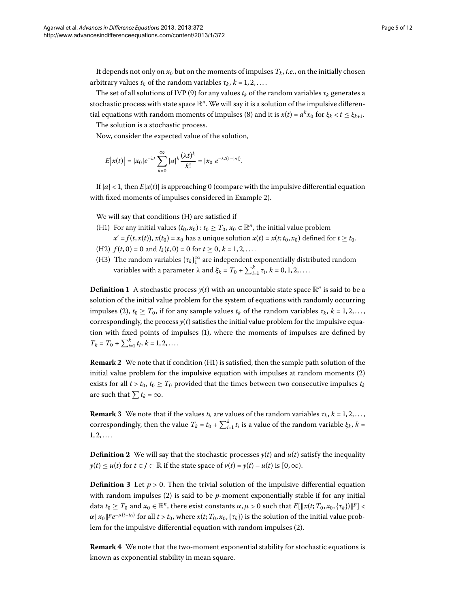It depends not only on  $x_0$  but on the moments of impulses  $T_k$ , *i.e.*, on the initially chosen arbitrary values  $t_k$  of the random variables  $\tau_k$ ,  $k = 1, 2, \ldots$ .

The set of all solutions of IVP (9[\)](#page-3-3) for any values  $t_k$  of the random variables  $\tau_k$  generates a stochastic process with state space R*<sup>n</sup>*. We will say it is a solution of the impulsive differen-tial equations with random moments of impulses [\(](#page-3-4)8) and it is  $x(t) = a^k x_0$  for  $\xi_k < t \leq \xi_{k+1}$ . The solution is a stochastic process.

Now, consider the expected value of the solution,

$$
E|x(t)| = |x_0|e^{-\lambda t} \sum_{k=0}^{\infty} |a|^k \frac{(\lambda t)^k}{k!} = |x_0|e^{-\lambda t(1-|a|)}.
$$

If  $|a| < 1$ , then  $E|x(t)|$  is approaching 0 (compare with the impulsive differential equation with fixed moments of impulses considered in Example 2).

We will say that conditions (H) are satisfied if

- (H1) For any initial values  $(t_0, x_0) : t_0 \geq T_0$ ,  $x_0 \in \mathbb{R}^n$ , the initial value problem
- $x' = f(t, x(t))$ ,  $x(t_0) = x_0$  has a unique solution  $x(t) = x(t; t_0, x_0)$  defined for  $t \ge t_0$ . (H2)  $f(t, 0) = 0$  and  $I_k(t, 0) = 0$  for  $t \ge 0, k = 1, 2, \ldots$ .
- (H3) The random variables  $\{\tau_k\}_1^{\infty}$  are independent exponentially distributed random variables with a parameter  $λ$  and  $ξ_k = T_0 + \sum_{i=1}^k τ_i, k = 0, 1, 2, ....$

**Definition 1** A stochastic process  $y(t)$  with an uncountable state space  $\mathbb{R}^n$  is said to be a solution of the initial value problem for the system of equations with randomly occurring impulses (2[\)](#page-1-1),  $t_0 \geq T_0$ , if for any sample values  $t_k$  of the random variables  $\tau_k$ ,  $k = 1, 2, \ldots$ , correspondingly, the process  $y(t)$  satisfies the initial value problem for the impulsive equation with fixed points of impulses [\(\)](#page-1-0), where the moments of impulses are defined by  $T_k = T_0 + \sum_{i=1}^k t_i, k = 1, 2, \ldots$ 

**Remark 2** We note that if condition (H1) is satisfied, then the sample path solution of the initial value problem for the impulsive equation with impulses at random moments  $(2)$  $(2)$ exists for all  $t > t_0$ ,  $t_0 \geq T_0$  provided that the times between two consecutive impulses  $t_k$ are such that  $\sum t_k = \infty$ .

**Remark 3** We note that if the values  $t_k$  are values of the random variables  $\tau_k$ ,  $k = 1, 2, \ldots$ , correspondingly, then the value  $T_k = t_0 + \sum_{i=1}^k t_i$  is a value of the random variable  $\xi_k$ ,  $k =$  $1, 2, \ldots$ 

**Definition 2** We will say that the stochastic processes  $y(t)$  and  $u(t)$  satisfy the inequality *y*(*t*) ≤ *u*(*t*) for *t* ∈ *J* ⊂ ℝ if the state space of *v*(*t*) = *y*(*t*) – *u*(*t*) is [0, ∞).

**Definition 3** Let  $p > 0$ . Then the trivial solution of the impulsive differential equation with random impulses  $(2)$  $(2)$  is said to be  $p$ -moment exponentially stable if for any initial data  $t_0 \geq T_0$  and  $x_0 \in \mathbb{R}^n$ , there exist constants  $\alpha, \mu > 0$  such that  $E[\|x(t; T_0, x_0, \{\tau_k\})\|^p] <$ *α*  $||x_0||^p e^{-\mu(t-t_0)}$  for all *t* > *t*<sub>0</sub>, where *x*(*t*; *T*<sub>0</sub>, *x*<sub>0</sub>, {τ*k*}) is the solution of the initial value prob-lem for the impulsive differential equation with random impulses [\(](#page-1-1)2).

**Remark 4** We note that the two-moment exponential stability for stochastic equations is known as exponential stability in mean square.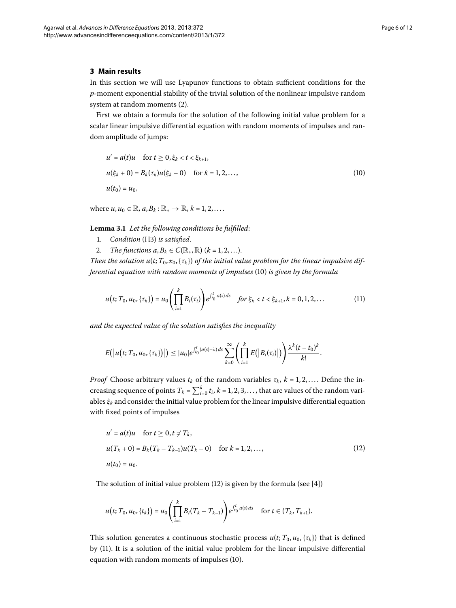#### **3 Main results**

In this section we will use Lyapunov functions to obtain sufficient conditions for the *p*-moment exponential stability of the trivial solution of the nonlinear impulsive random system at random moments [\(](#page-1-1)2).

First we obtain a formula for the solution of the following initial value problem for a scalar linear impulsive differential equation with random moments of impulses and random amplitude of jumps:

<span id="page-5-3"></span><span id="page-5-0"></span>
$$
u' = a(t)u \quad \text{for } t \ge 0, \xi_k < t < \xi_{k+1},
$$
\n
$$
u(\xi_k + 0) = B_k(\tau_k)u(\xi_k - 0) \quad \text{for } k = 1, 2, \dots,
$$
\n
$$
u(t_0) = u_0,
$$
\n
$$
(10)
$$

where  $u, u_0 \in \mathbb{R}$ ,  $a, B_k : \mathbb{R}_+ \to \mathbb{R}$ ,  $k = 1, 2, \ldots$ .

**Lemma .** *Let the following conditions be fulfilled*:

- 1. *Condition* (H3) *is satisfied*.
- 2. *The functions*  $a, B_k \in C(\mathbb{R}_+, \mathbb{R})$   $(k = 1, 2, \ldots).$

*Then the solution*  $u(t; T_0, x_0, \{\tau_k\})$  *of the initial value problem for the linear impulsive differential equation with random moments of impulses* [\(](#page-5-0)10) *is given by the formula* 

<span id="page-5-2"></span>
$$
u(t; T_0, u_0, \{\tau_k\}) = u_0 \left( \prod_{i=1}^k B_i(\tau_i) \right) e^{\int_{t_0}^t a(s) ds} \quad \text{for } \xi_k < t < \xi_{k+1}, k = 0, 1, 2, \dots \tag{11}
$$

*and the expected value of the solution satisfies the inequality*

<span id="page-5-1"></span>
$$
E(|u(t;T_0,u_0,\{\tau_k\})|)\leq |u_0|e^{\int_{t_0}^t(a(s)-\lambda)ds}\sum_{k=0}^{\infty}\left(\prod_{i=1}^k E(|B_i(\tau_i)|)\right)\frac{\lambda^k(t-t_0)^k}{k!}.
$$

*Proof* Choose arbitrary values  $t_k$  of the random variables  $\tau_k$ ,  $k = 1, 2, \ldots$ . Define the increasing sequence of points  $T_k = \sum_{i=0}^k t_i$ ,  $k = 1, 2, 3, \ldots$ , that are values of the random variables *ξ<sup>k</sup>* and consider the initial value problem for the linear impulsive differential equation with fixed points of impulses

$$
u' = a(t)u \quad \text{for } t \ge 0, t \ne T_k,
$$
  
\n
$$
u(T_k + 0) = B_k(T_k - T_{k-1})u(T_k - 0) \quad \text{for } k = 1, 2, ...,
$$
  
\n
$$
u(t_0) = u_0.
$$
\n(12)

The solution of initial value problem  $(12)$  is given by the formula (see [\[](#page-11-4)4])

$$
u(t; T_0, u_0, \{t_k\}) = u_0 \left( \prod_{i=1}^k B_i (T_k - T_{k-1}) \right) e^{\int_{t_0}^t a(s) ds} \quad \text{for } t \in (T_k, T_{k+1}).
$$

This solution generates a continuous stochastic process  $u(t; T_0, u_0, \{\tau_k\})$  that is defined by (11[\)](#page-5-2). It is a solution of the initial value problem for the linear impulsive differential equation with random moments of impulses (10).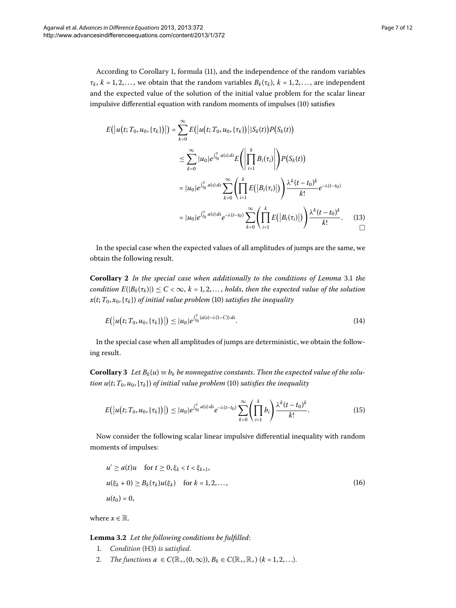According to Corollary 1, formula (11), and the independence of the random variables  $\tau_k$ ,  $k = 1, 2, \ldots$ , we obtain that the random variables  $B_k(\tau_k)$ ,  $k = 1, 2, \ldots$ , are independent and the expected value of the solution of the initial value problem for the scalar linear impulsive differential equation with random moments of impulses (10) satisfies

$$
E(|u(t; T_0, u_0, \{\tau_k\})|) = \sum_{k=0}^{\infty} E(|u(t; T_0, u_0, \{\tau_k\})| |S_k(t)| P(S_k(t))
$$
  

$$
\leq \sum_{k=0}^{\infty} |u_0| e^{\int_{t_0}^t a(s) ds} E\left(\left|\prod_{i=1}^k B_i(\tau_i)\right|\right) P(S_k(t))
$$
  

$$
= |u_0| e^{\int_{t_0}^t a(s) ds} \sum_{k=0}^{\infty} \left(\prod_{i=1}^k E(|B_i(\tau_i)|)\right) \frac{\lambda^k (t - t_0)^k}{k!} e^{-\lambda (t - t_0)}
$$
  

$$
= |u_0| e^{\int_{t_0}^t a(s) ds} e^{-\lambda (t - t_0)} \sum_{k=0}^{\infty} \left(\prod_{i=1}^k E(|B_i(\tau_i)|)\right) \frac{\lambda^k (t - t_0)^k}{k!}.
$$
 (13)

<span id="page-6-1"></span>In the special case when the expected values of all amplitudes of jumps are the same, we obtain the following result.

**Corollary 2** *In the special case when additionally to the conditions of Lemma* 3[.](#page-5-3)1 *the condition*  $E(|B_k(\tau_k)|) \leq C < \infty$ ,  $k = 1, 2, \ldots$ , *holds, then the expected value of the solution*  $x(t; T_0, x_0, \{\tau_k\})$  *of initial value problem* (10) *satisfies the inequality* 

$$
E(|u(t;T_0,u_0,\{\tau_k\})|) \leq |u_0|e^{\int_{t_0}^t (a(s)-\lambda(1-C))ds}.
$$
\n(14)

In the special case when all amplitudes of jumps are deterministic, we obtain the following result.

**Corollary** 3 Let  $B_k(u) \equiv b_k$  be nonnegative constants. Then the expected value of the solu*tion u*( $t$ ;  $T_0$ ,  $u_0$ ,  $\{\tau_k\}$ [\)](#page-5-0) *of initial value problem* (10) *satisfies the inequality* 

<span id="page-6-0"></span>
$$
E(|u(t;T_0,u_0,\{\tau_k\})|) \leq |u_0|e^{\int_{t_0}^t a(s) ds}e^{-\lambda(t-t_0)}\sum_{k=0}^{\infty}\left(\prod_{i=1}^k b_i\right)\frac{\lambda^k(t-t_0)^k}{k!}.
$$
 (15)

Now consider the following scalar linear impulsive differential inequality with random moments of impulses:

<span id="page-6-2"></span>
$$
u' \ge a(t)u \quad \text{for } t \ge 0, \xi_k < t < \xi_{k+1},
$$
\n
$$
u(\xi_k + 0) \ge B_k(\tau_k)u(\xi_k) \quad \text{for } k = 1, 2, \dots,
$$
\n
$$
u(t_0) = 0,
$$
\n
$$
(16)
$$

where  $x \in \mathbb{R}$ .

**Lemma .** *Let the following conditions be fulfilled*:

- 1. *Condition* (H3) *is satisfied.*
- 2. *The functions*  $a \in C(\mathbb{R}_+, (0, \infty)), B_k \in C(\mathbb{R}_+, \mathbb{R}_+)$  ( $k = 1, 2, ...$ ).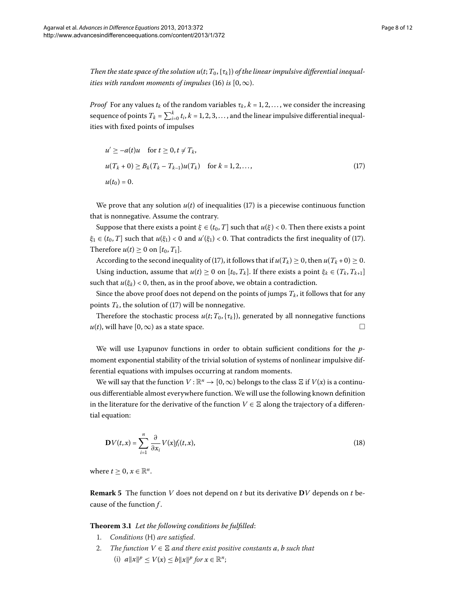*Then the state space of the solution*  $u(t; T_0, \{t_k\})$  *of the linear impulsive differential inequalities with random moments of impulses* (16[\)](#page-6-0) *is*  $[0, \infty)$ .

*Proof* For any values  $t_k$  of the random variables  $\tau_k$ ,  $k = 1, 2, \ldots$ , we consider the increasing sequence of points  $T_k = \sum_{i=0}^k t_i$ ,  $k = 1, 2, 3, ...,$  and the linear impulsive differential inequalities with fixed points of impulses

<span id="page-7-0"></span>
$$
u' \ge -a(t)u \quad \text{for } t \ge 0, t \ne T_k,
$$
  

$$
u(T_k + 0) \ge B_k(T_k - T_{k-1})u(T_k) \quad \text{for } k = 1, 2, ...,
$$
  

$$
u(t_0) = 0.
$$
 (17)

We prove that any solution  $u(t)$  $u(t)$  $u(t)$  of inequalities (17) is a piecewise continuous function that is nonnegative. Assume the contrary.

Suppose that there exists a point  $\xi \in (t_0, T]$  such that  $u(\xi) < 0$ . Then there exists a point  $\xi_1 \in (t_0, T]$  such that  $u(\xi_1) < 0$  $u(\xi_1) < 0$  $u(\xi_1) < 0$  and  $u'(\xi_1) < 0$ . That contradicts the first inequality of (17). Therefore  $u(t) \geq 0$  on  $[t_0, T_1]$ .

According to the second inequality of (17[\)](#page-7-0), it follows that if  $u(T_k) \ge 0$ , then  $u(T_k + 0) \ge 0$ . Using induction, assume that  $u(t) \ge 0$  on  $[t_0, T_k]$ . If there exists a point  $\xi_k \in (T_k, T_{k+1}]$ such that  $u(\xi_k) < 0$ , then, as in the proof above, we obtain a contradiction.

Since the above proof does not depend on the points of jumps  $T_k$ , it follows that for any points  $T_k$ , the solution of (17[\)](#page-7-0) will be nonnegative.

Therefore the stochastic process  $u(t; T_0, \{\tau_k\})$ , generated by all nonnegative functions  $u(t)$ , will have [0, ∞) as a state space.  $\Box$ 

We will use Lyapunov functions in order to obtain sufficient conditions for the *p*moment exponential stability of the trivial solution of systems of nonlinear impulsive differential equations with impulses occurring at random moments.

We will say that the function  $V : \mathbb{R}^n \to [0,\infty)$  belongs to the class  $\Xi$  if  $V(x)$  is a continuous differentiable almost everywhere function. We will use the following known definition in the literature for the derivative of the function  $V \in \Xi$  along the trajectory of a differential equation:

$$
\mathbf{D}V(t,x) = \sum_{i=1}^{n} \frac{\partial}{\partial x_i} V(x) f_i(t,x), \qquad (18)
$$

<span id="page-7-1"></span>where  $t > 0$ ,  $x \in \mathbb{R}^n$ .

**Remark 5** The function *V* does not depend on *t* but its derivative  $DV$  depends on *t* because of the function *f* .

**Theorem .** *Let the following conditions be fulfilled*:

- . *Conditions* (H) *are satisfied*.
- 2. The function  $V ∈ E$  and there exist positive constants a, b such that (i)  $a||x||^p \le V(x) \le b||x||^p$  for  $x \in \mathbb{R}^n$ ;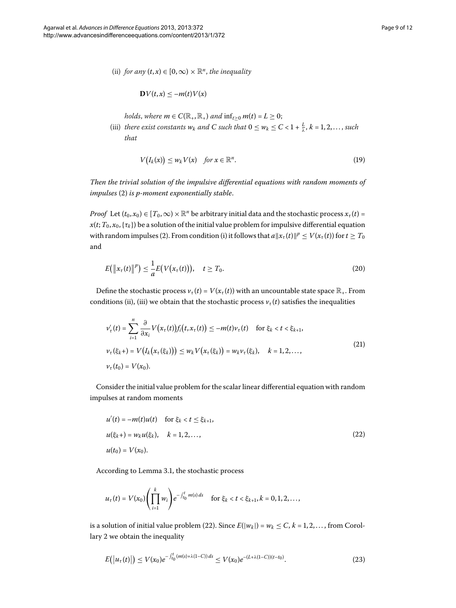(ii) *for any*  $(t, x) \in [0, \infty) \times \mathbb{R}^n$ , *the inequality* 

<span id="page-8-2"></span>
$$
\mathbf{D}V(t,x)\leq -m(t)V(x)
$$

*holds*, *where*  $m \in C(\mathbb{R}_+, \mathbb{R}_+)$  *and*  $\inf_{t>0} m(t) = L \geq 0$ ;

(iii) *there exist constants*  $w_k$  *and*  $C$  *such that*  $0 \leq w_k \leq C < 1 + \frac{L}{\lambda}$ ,  $k = 1, 2, ...,$  *such that*

$$
V(I_k(x)) \le w_k V(x) \quad \text{for } x \in \mathbb{R}^n. \tag{19}
$$

*Then the trivial solution of the impulsive differential equations with random moments of impulses* [\(](#page-1-1)2) *is p-moment exponentially stable.* 

*Proof* Let  $(t_0, x_0) \in [T_0, \infty) \times \mathbb{R}^n$  be arbitrary initial data and the stochastic process  $x_\tau(t)$  =  $x(t; T_0, x_0, \{\tau_k\})$  be a solution of the initial value problem for impulsive differential equation with random impulses (2[\)](#page-1-1). From condition (i) it follows that  $a\|x_\tau(t)\|^p \le V(x_\tau(t))$  for  $t \ge T_0$ and

$$
E\big(\big\|x_{\tau}(t)\big\|^p\big)\leq \frac{1}{a}E\big(V\big(x_{\tau}(t)\big)\big),\quad t\geq T_0.
$$
\n
$$
(20)
$$

Define the stochastic process  $v_{\tau}(t) = V(x_{\tau}(t))$  with an uncountable state space  $\mathbb{R}_{+}$ . From conditions (ii), (iii) we obtain that the stochastic process  $v_t(t)$  satisfies the inequalities

<span id="page-8-0"></span>
$$
\nu_{\tau}'(t) = \sum_{i=1}^{n} \frac{\partial}{\partial x_i} V(x_{\tau}(t)) f_i(t, x_{\tau}(t)) \le -m(t) \nu_{\tau}(t) \quad \text{for } \xi_k < t < \xi_{k+1},
$$
\n
$$
\nu_{\tau}(\xi_k+) = V\big(I_k\big(x_{\tau}(\xi_k)\big)\big) \le w_k V\big(x_{\tau}(\xi_k)\big) = w_k \nu_{\tau}(\xi_k), \quad k = 1, 2, \dots,
$$
\n
$$
\nu_{\tau}(t_0) = V(x_0).
$$
\n
$$
(21)
$$

Consider the initial value problem for the scalar linear differential equation with random impulses at random moments

$$
u'(t) = -m(t)u(t) \quad \text{for } \xi_k < t \le \xi_{k+1},
$$
\n
$$
u(\xi_k +) = w_k u(\xi_k), \quad k = 1, 2, \dots,
$$
\n
$$
u(t_0) = V(x_0).
$$
\n
$$
(22)
$$

According to Lemma 3[.](#page-5-3)1, the stochastic process

<span id="page-8-1"></span>
$$
u_{\tau}(t) = V(x_0) \left( \prod_{i=1}^k w_i \right) e^{-\int_{t_0}^t m(s) ds} \quad \text{for } \xi_k < t < \xi_{k+1}, k = 0, 1, 2, \ldots,
$$

is a solution of initial value problem (22[\)](#page-8-0). Since  $E(|w_k|) = w_k \le C$ ,  $k = 1, 2, \ldots$ , from Corollary 2 we obtain the inequality

$$
E(|u_{\tau}(t)|) \le V(x_0) e^{-\int_{t_0}^t (m(s) + \lambda(1-C)) ds} \le V(x_0) e^{-(L + \lambda(1-C))(t-t_0)}.
$$
\n(23)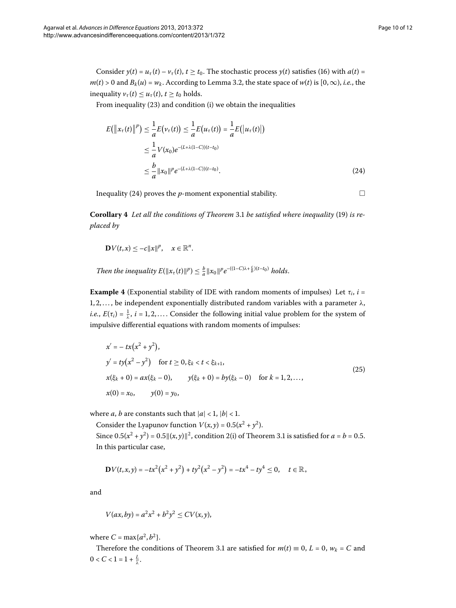Consider  $y(t) = u_\tau(t) - v_\tau(t)$  $y(t) = u_\tau(t) - v_\tau(t)$  $y(t) = u_\tau(t) - v_\tau(t)$ ,  $t \ge t_0$ . The stochastic process  $y(t)$  satisfies (16) with  $a(t) =$  $m(t) > 0$  and  $B_k(u) = w_k$ [.](#page-6-2) According to Lemma 3.2, the state space of  $w(t)$  is  $[0, \infty)$ , *i.e.*, the inequality  $v_{\tau}(t) \leq u_{\tau}(t)$ ,  $t \geq t_0$  holds.

From inequality  $(23)$  $(23)$  and condition  $(i)$  we obtain the inequalities

$$
E(||x_{\tau}(t)||^{p}) \leq \frac{1}{a}E(v_{\tau}(t)) \leq \frac{1}{a}E(u_{\tau}(t)) = \frac{1}{a}E(|u_{\tau}(t)|)
$$
  

$$
\leq \frac{1}{a}V(x_{0})e^{-(L+\lambda(1-C))(t-t_{0})}
$$
  

$$
\leq \frac{b}{a}||x_{0}||^{p}e^{-(L+\lambda(1-C))(t-t_{0})}.
$$
 (24)

Inequality (24) proves the  $p$ -moment exponential stability.  $\Box$ 

<span id="page-9-1"></span><span id="page-9-0"></span>

**Corollary 4** Let all the conditions of Theorem 3[.](#page-7-1)1 be satisfied where inequality [\(](#page-8-2)19) is re*placed by*

$$
\mathbf{D}V(t,x)\leq -c||x||^p,\quad x\in\mathbb{R}^n.
$$

*Then the inequality*  $E(\Vert x_{\tau}(t) \Vert^{p}) \leq \frac{b}{a} \Vert x_{0} \Vert^{p} e^{-(1-C)\lambda + \frac{c}{b}(t-t_{0})}$  holds.

**Example 4** (Exponential stability of IDE with random moments of impulses) Let  $\tau_i$ ,  $i$  = , , . . . , be independent exponentially distributed random variables with a parameter *λ*, *i.e.*,  $E(\tau_i) = \frac{1}{\lambda}, i = 1, 2, \dots$ . Consider the following initial value problem for the system of impulsive differential equations with random moments of impulses:

$$
x' = -tx(x^2 + y^2),
$$
  
\n
$$
y' = ty(x^2 - y^2) \text{ for } t \ge 0, \xi_k < t < \xi_{k+1},
$$
  
\n
$$
x(\xi_k + 0) = ax(\xi_k - 0), \qquad y(\xi_k + 0) = by(\xi_k - 0) \text{ for } k = 1, 2, ...,
$$
  
\n
$$
x(0) = x_0, \qquad y(0) = y_0,
$$
\n(25)

where *a*, *b* are constants such that  $|a| < 1$ ,  $|b| < 1$ .

Consider the Lyapunov function  $V(x, y) = 0.5(x^2 + y^2)$ . Since  $0.5(x^2 + y^2) = 0.5 ||(x, y)||^2$  $0.5(x^2 + y^2) = 0.5 ||(x, y)||^2$  $0.5(x^2 + y^2) = 0.5 ||(x, y)||^2$ , condition 2(i) of Theorem 3.1 is satisfied for  $a = b = 0.5$ . In this particular case,

$$
\mathbf{D}V(t,x,y)=-tx^2(x^2+y^2)+ty^2(x^2-y^2)=-tx^4-ty^4\leq 0, \quad t\in\mathbb{R}_+
$$

and

$$
V(ax, by) = a^2x^2 + b^2y^2 \le CV(x, y),
$$

where  $C = \max\{a^2, b^2\}.$ 

Therefore the conditions of Theorem 3[.](#page-7-1)1 are satisfied for  $m(t) \equiv 0$ ,  $L = 0$ ,  $w_k = C$  and  $0 < C < 1 = 1 + \frac{L}{\lambda}$ .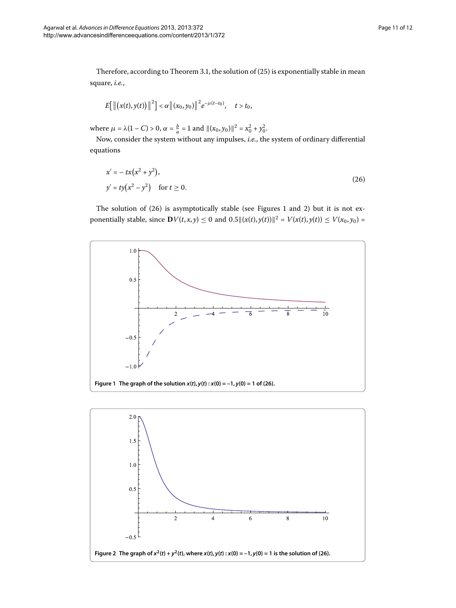Therefore, according to Theorem 3.1, the solution of  $(25)$  $(25)$  is exponentially stable in mean square, *i.e.*,

<span id="page-10-0"></span>
$$
E[\|(x(t),y(t))\|^2] < \alpha \|(x_0,y_0)\|^2 e^{-\mu(t-t_0)}, \quad t > t_0,
$$

where  $\mu = \lambda(1 - C) > 0$ ,  $\alpha = \frac{b}{a} = 1$  and  $\|(x_0, y_0)\|^2 = x_0^2 + y_0^2$ .

Now, consider the system without any impulses, *i.e.*, the system of ordinary differential equations

$$
x' = -tx(x^2 + y^2),
$$
  
\n
$$
y' = ty(x^2 - y^2) \text{ for } t \ge 0.
$$
 (26)

<span id="page-10-1"></span>The solution of  $(26)$  $(26)$  is asymptotically stable (see Figures 1 and 2) but it is not exponentially stable, since  $\mathbf{D}V(t, x, y) \le 0$  and  $0.5 \| (x(t), y(t)) \|^2 = V(x(t), y(t)) \le V(x_0, y_0) =$ 



<span id="page-10-2"></span>